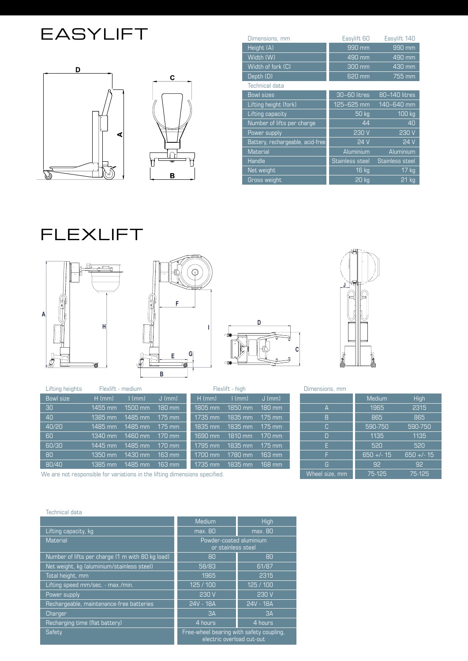### **EASYLIFT**



| Dimensions, mm                   | Easylift 60        | Easylift 140                |
|----------------------------------|--------------------|-----------------------------|
| Height (A)                       | 990 mm             | 990 mm                      |
| Width (W)                        | 490 mm             | 490 mm                      |
| Width of fork (C)                | 300 mm             | 430 mm                      |
| Depth (D)                        | 620 mm             | $755 \,\mathrm{mm}$         |
| Technical data                   |                    |                             |
| <b>Bowl sizes</b>                | 30-60 litres       | $\overline{80}$ -140 litres |
| Lifting height (fork)            | 125-625 mm         | 140-640 mm                  |
| Lifting capacity                 | $50 \,\mathrm{kg}$ | 100 kg                      |
| Number of lifts per charge       | 44                 | 40                          |
| Power supply                     | 230 V              | 230 V                       |
| Battery, rechargeable, acid-free | 24V                | 24 V                        |
| <b>Material</b>                  | Aluminium          | Aluminium                   |
| Handle                           | Stainless steel    | <b>Stainless steel</b>      |
| Net weight                       | 16 kg              | $17$ kg                     |
| <b>Gross weight</b>              | <b>20 kg</b>       | 21 kg                       |

## **FLEXLIFT**









| Lifting heights                                                            |           | Flexlift - medium |                  |           | Flexlift - high |          |
|----------------------------------------------------------------------------|-----------|-------------------|------------------|-----------|-----------------|----------|
| Bowl size                                                                  | $H$ (mm)  | $\lfloor$ (mm)    | $J$ (mm)         | $H$ (mm)  | $\lfloor$ (mm)  | $J$ (mm) |
| 30                                                                         | '1455 mm  | $1500$ mm         | $180 \text{ mm}$ | 1805 mm   | 1850 mm         | 180 mm   |
| 40                                                                         | $1385$ mm | $1485$ mm         | $175$ mm         | $1735$ mm | $1835$ mm       | $175$ mm |
| 40/20                                                                      | $1485$ mm | 1485 mm           | $175$ mm         | 1835 mm   | $1835$ mm       | $175$ mm |
| 60                                                                         | $1340$ mm | 1460 mm           | $170$ mm         | $1690$ mm | 1810 mm         | 170 mm   |
| 60/30                                                                      | $1445$ mm | 1485 mm           | $170$ mm         | $1795$ mm | 1835 mm         | $175$ mm |
| 80                                                                         | $1350$ mm | 1430 mm           | $163$ mm         | 1700 mm   | 1780 mm         | $163$ mm |
| 80/40                                                                      | $1385$ mm | 1485 mm           | $163$ mm         | 1735 mm   | 1835 mm         | 168 mm   |
| We are not responsible for variations in the lifting dimensions specified. |           |                   |                  |           |                 |          |

Dimensions, mm

|                | <b>Medium</b> | High         |
|----------------|---------------|--------------|
| А              | 1965          | 2315         |
| B              | 865           | 865          |
| C              | 590-750       | 590-750      |
| Π              | 1135          | 1135         |
| F              | 520           | 520          |
| F              | $650 +/- 15$  | $650 +/- 15$ |
| G              | 92            | 92           |
| Wheel size, mm | 75-125        | 75-125       |

#### Technical data

|                                                  | Medium                                                                | High      |
|--------------------------------------------------|-----------------------------------------------------------------------|-----------|
| Lifting capacity, kg                             | max. 80                                                               | max. 80   |
| Material                                         | Powder-coated aluminium<br>or stainless steel                         |           |
| Number of lifts per charge (1 m with 80 kg load) | 80                                                                    | 80        |
| Net weight, kg (aluminium/stainless steel)       | 58/83                                                                 | 61/87     |
| Total height, mm                                 | 1965                                                                  | 2315      |
| Lifting speed mm/sec. - max./min.                | 125/100                                                               | 125/100   |
| Power supply                                     | 230 V                                                                 | 230 V     |
| Rechargeable, maintenance-free batteries         | 24V - 18A                                                             | 24V - 18A |
| Charger                                          | 3A                                                                    | 3A        |
| Recharging time (flat battery)                   | 4 hours                                                               | 4 hours   |
| Safety                                           | Free-wheel bearing with safety coupling.<br>electric overload cut-out |           |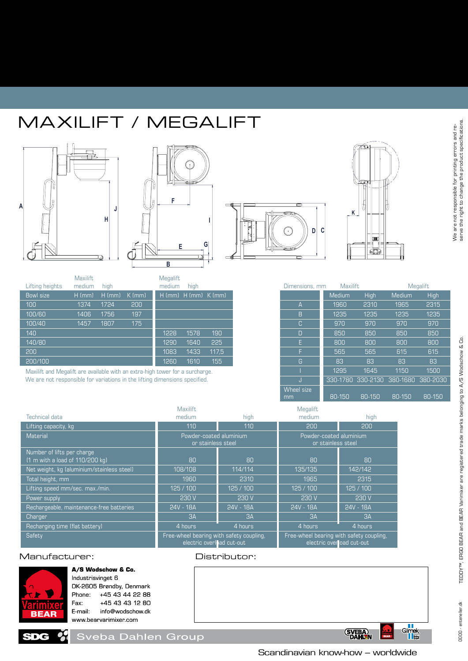## maxilift / MEGALIFT





| Lifting heights | <b>Maxilift</b><br>medium | high     |          | <b>Megalift</b><br>medium | high                       |       |
|-----------------|---------------------------|----------|----------|---------------------------|----------------------------|-------|
| Bowl size       | $H$ (mm)                  | $H$ (mm) | $K$ (mm) |                           | $H$ (mm) $H$ (mm) $K$ (mm) |       |
| 100             | 1374                      | 1724     | 200      |                           |                            |       |
| 100/60          | 1406                      | 1756     | 197      |                           |                            |       |
| 100/40          | 1457                      | 1807     | 175      |                           |                            |       |
| 140             |                           |          |          | 1228                      | 1578                       | 190   |
| 140/80          |                           |          |          | 1290                      | 1640                       | 225   |
| 200             |                           |          |          | 1083                      | 1433                       | 117.5 |
| 200/100         |                           |          |          | 1260                      | 1610                       | 155   |

**J**

Maxilift and Megalift are available with an extra-high tower for a surcharge. We are not responsible for variations in the lifting dimensions specified.





| Dimensions, mm          | Maxilift      |             | Megalift      |             |  |
|-------------------------|---------------|-------------|---------------|-------------|--|
|                         | <b>Medium</b> | <b>High</b> | <b>Medium</b> | <b>High</b> |  |
| A                       | 1960          | 2310        | 1965          | 2315        |  |
| B                       | 1235          | 1235        | 1235          | 1235        |  |
| C                       | 970           | 970         | 970           | 970         |  |
| D                       | 850           | 850         | 850           | 850         |  |
| F                       | 800           | 800         | 800           | 800         |  |
| F                       | 565           | 565         | 615           | 615         |  |
| G                       | 83            | 83          | 83            | 83          |  |
|                         | 1295          | 1645        | 1150          | 1500        |  |
| IJ                      | 330-1780      | 330-2130    | 380-1680      | 380-2030    |  |
| <b>Wheel size</b><br>mm | 80-150        | 80-150      | 80-150        | 80-150      |  |

|                                                               | Maxilift                                                              |           | Megalift                                                              |           |  |
|---------------------------------------------------------------|-----------------------------------------------------------------------|-----------|-----------------------------------------------------------------------|-----------|--|
| <b>Technical data</b>                                         | medium                                                                | high      | medium                                                                | high      |  |
| Lifting capacity, kg                                          | 110                                                                   | 110       | 200                                                                   | 200       |  |
| Material                                                      | Powder-coated aluminium<br>or stainless steel                         |           | Powder-coated aluminium<br>or stainless steel                         |           |  |
| Number of lifts per charge<br>(1 m with a load of 110/200 kg) | 80                                                                    | 80        | 80                                                                    | 80        |  |
| Net weight, kg (aluminium/stainless steel)                    | 108/108                                                               | 114/114   | 135/135                                                               | 142/142   |  |
| Total height, mm                                              | 1960                                                                  | 2310      | 1965                                                                  | 2315      |  |
| Lifting speed mm/sec. max./min.                               | 125/100                                                               | 125/100   | 125/100                                                               | 125/100   |  |
| Power supply                                                  | 230 V                                                                 | 230 V     | 230 V                                                                 | 230 V     |  |
| Rechargeable, maintenance-free batteries                      | 24V - 18A                                                             | 24V - 18A | 24V - 18A                                                             | 24V - 18A |  |
| Charger                                                       | 3A                                                                    | 3A        | 3A                                                                    | 3A        |  |
| Recharging time (flat battery)                                | 4 hours                                                               | 4 hours   | 4 hours                                                               | 4 hours   |  |
| Safety                                                        | Free-wheel bearing with safety coupling,<br>electric overload cut-out |           | Free-wheel bearing with safety coupling,<br>electric overload cut-out |           |  |

#### Manufacturer: Distributor:



Œ

**A/S Wodschow & Co.** Industrisvinget 6 DK-2605 Brøndby, Denmark Phone: +45 43 44 22 88 Fax: +45 43 43 12 80 E-mail: info@wodschow.dk

www.bearvarimixer.com

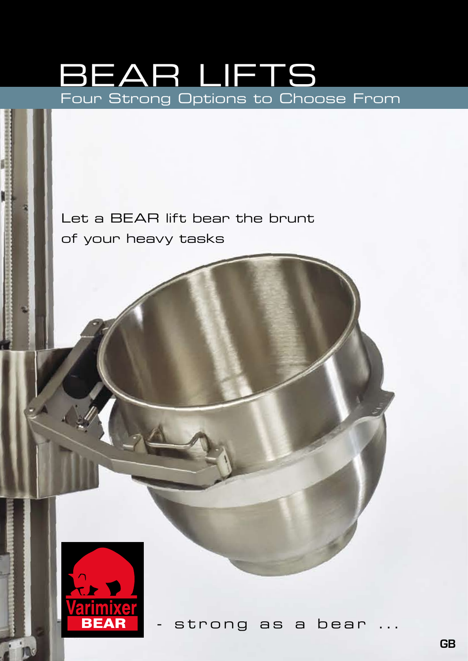# Four Strong Options to Choose From BEAR lifts

Let a BEAR lift bear the brunt of your heavy tasks



strong as a bear ...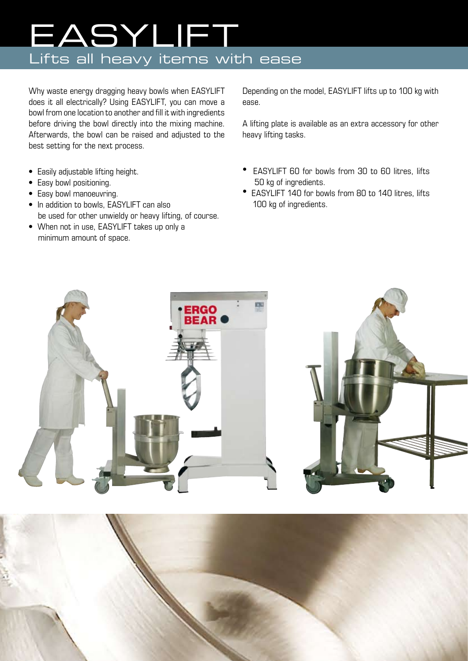# Lifts all heavy items with ease EASYlift

Why waste energy dragging heavy bowls when EASYLIFT does it all electrically? Using EASYLIFT, you can move a bowl from one location to another and fill it with ingredients before driving the bowl directly into the mixing machine. Afterwards, the bowl can be raised and adjusted to the best setting for the next process.

- Easily adjustable lifting height.
- Easy bowl positioning.
- Easy bowl manoeuvring.
- In addition to bowls, EASYLIFT can also be used for other unwieldy or heavy lifting, of course.
- When not in use, EASYLIFT takes up only a minimum amount of space.

Depending on the model, EASYLIFT lifts up to 100 kg with ease.

A lifting plate is available as an extra accessory for other heavy lifting tasks.

- EASYLIFT 60 for bowls from 30 to 60 litres, lifts 50 kg of ingredients.
- EASYLIFT 140 for bowls from 80 to 140 litres, lifts 100 kg of ingredients.





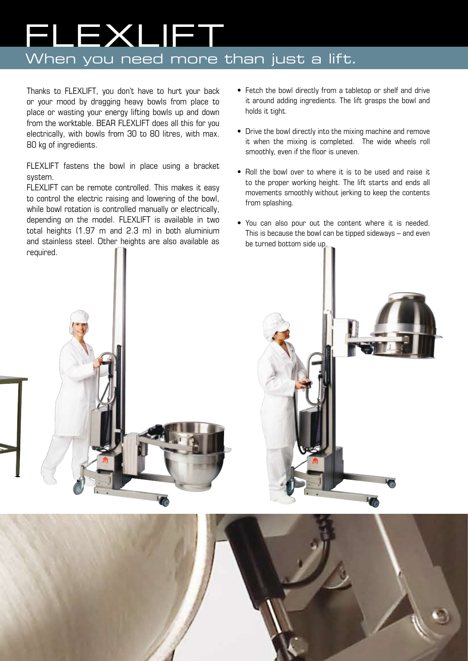# When you need more than just a lift. **LEXLIET**

Thanks to FLEXLIFT, you don't have to hurt your back or your mood by dragging heavy bowls from place to place or wasting your energy lifting bowls up and down from the worktable. BEAR FLEXLIFT does all this for you electrically, with bowls from 30 to 80 litres, with max. 80 kg of ingredients.

FLEXLIFT fastens the bowl in place using a bracket system.

FLEXLIFT can be remote controlled. This makes it easy to control the electric raising and lowering of the bowl, while bowl rotation is controlled manually or electrically, depending on the model. FLEXLIFT is available in two total heights (1.97 m and 2.3 m) in both aluminium and stainless steel. Other heights are also available as required.

- Fetch the bowl directly from a tabletop or shelf and drive it around adding ingredients. The lift grasps the bowl and holds it tight.
- Drive the bowl directly into the mixing machine and remove it when the mixing is completed. The wide wheels roll smoothly, even if the floor is uneven.
- Roll the bowl over to where it is to be used and raise it to the proper working height. The lift starts and ends all movements smoothly without jerking to keep the contents from splashing.
- You can also pour out the content where it is needed. This is because the bowl can be tipped sideways – and even be turned bottom side up.